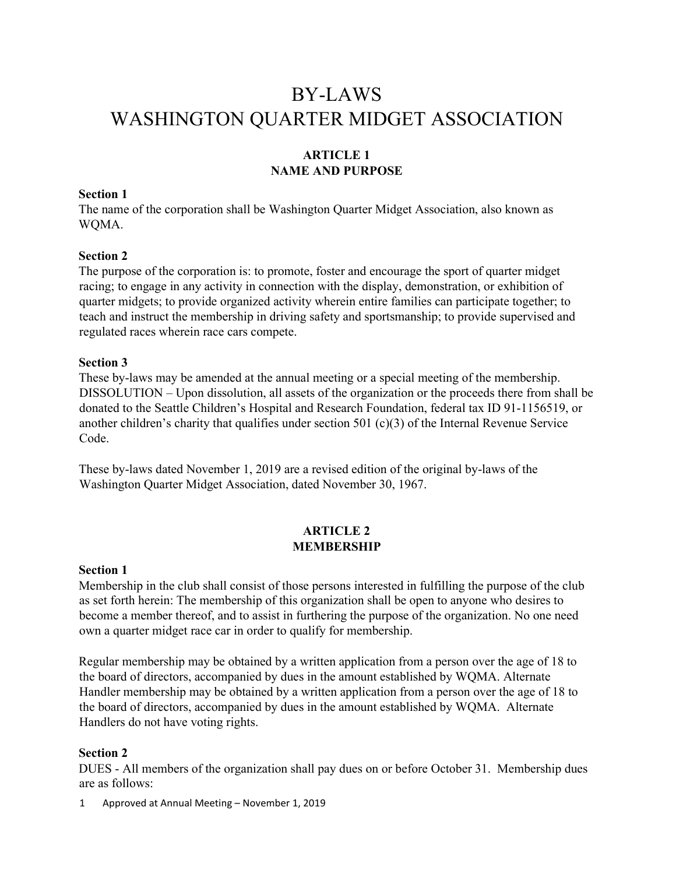# BY-LAWS WASHINGTON QUARTER MIDGET ASSOCIATION

# **ARTICLE 1 NAME AND PURPOSE**

# **Section 1**

The name of the corporation shall be Washington Quarter Midget Association, also known as WQMA.

#### **Section 2**

The purpose of the corporation is: to promote, foster and encourage the sport of quarter midget racing; to engage in any activity in connection with the display, demonstration, or exhibition of quarter midgets; to provide organized activity wherein entire families can participate together; to teach and instruct the membership in driving safety and sportsmanship; to provide supervised and regulated races wherein race cars compete.

#### **Section 3**

These by-laws may be amended at the annual meeting or a special meeting of the membership. DISSOLUTION – Upon dissolution, all assets of the organization or the proceeds there from shall be donated to the Seattle Children's Hospital and Research Foundation, federal tax ID 91-1156519, or another children's charity that qualifies under section 501 (c)(3) of the Internal Revenue Service Code.

These by-laws dated November 1, 2019 are a revised edition of the original by-laws of the Washington Quarter Midget Association, dated November 30, 1967.

# **ARTICLE 2 MEMBERSHIP**

#### **Section 1**

Membership in the club shall consist of those persons interested in fulfilling the purpose of the club as set forth herein: The membership of this organization shall be open to anyone who desires to become a member thereof, and to assist in furthering the purpose of the organization. No one need own a quarter midget race car in order to qualify for membership.

Regular membership may be obtained by a written application from a person over the age of 18 to the board of directors, accompanied by dues in the amount established by WQMA. Alternate Handler membership may be obtained by a written application from a person over the age of 18 to the board of directors, accompanied by dues in the amount established by WQMA. Alternate Handlers do not have voting rights.

#### **Section 2**

DUES - All members of the organization shall pay dues on or before October 31. Membership dues are as follows:

1 Approved at Annual Meeting – November 1, 2019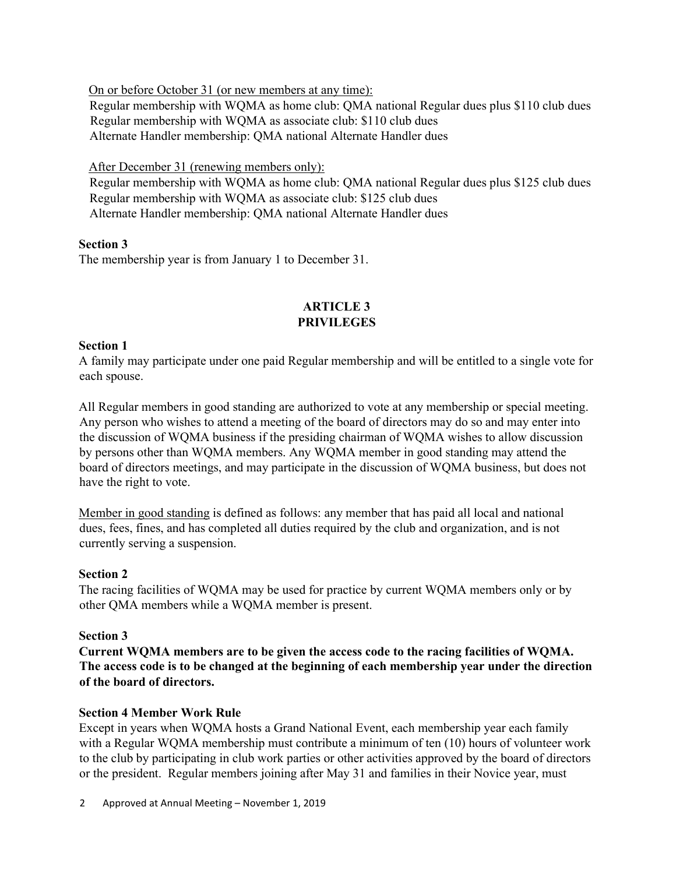On or before October 31 (or new members at any time):

Regular membership with WQMA as home club: QMA national Regular dues plus \$110 club dues Regular membership with WQMA as associate club: \$110 club dues Alternate Handler membership: QMA national Alternate Handler dues

After December 31 (renewing members only):

Regular membership with WQMA as home club: QMA national Regular dues plus \$125 club dues Regular membership with WQMA as associate club: \$125 club dues Alternate Handler membership: QMA national Alternate Handler dues

# **Section 3**

The membership year is from January 1 to December 31.

# **ARTICLE 3 PRIVILEGES**

# **Section 1**

A family may participate under one paid Regular membership and will be entitled to a single vote for each spouse.

All Regular members in good standing are authorized to vote at any membership or special meeting. Any person who wishes to attend a meeting of the board of directors may do so and may enter into the discussion of WQMA business if the presiding chairman of WQMA wishes to allow discussion by persons other than WQMA members. Any WQMA member in good standing may attend the board of directors meetings, and may participate in the discussion of WQMA business, but does not have the right to vote.

Member in good standing is defined as follows: any member that has paid all local and national dues, fees, fines, and has completed all duties required by the club and organization, and is not currently serving a suspension.

# **Section 2**

The racing facilities of WQMA may be used for practice by current WQMA members only or by other QMA members while a WQMA member is present.

# **Section 3**

**Current WQMA members are to be given the access code to the racing facilities of WQMA. The access code is to be changed at the beginning of each membership year under the direction of the board of directors.** 

## **Section 4 Member Work Rule**

Except in years when WQMA hosts a Grand National Event, each membership year each family with a Regular WQMA membership must contribute a minimum of ten (10) hours of volunteer work to the club by participating in club work parties or other activities approved by the board of directors or the president. Regular members joining after May 31 and families in their Novice year, must

2 Approved at Annual Meeting – November 1, 2019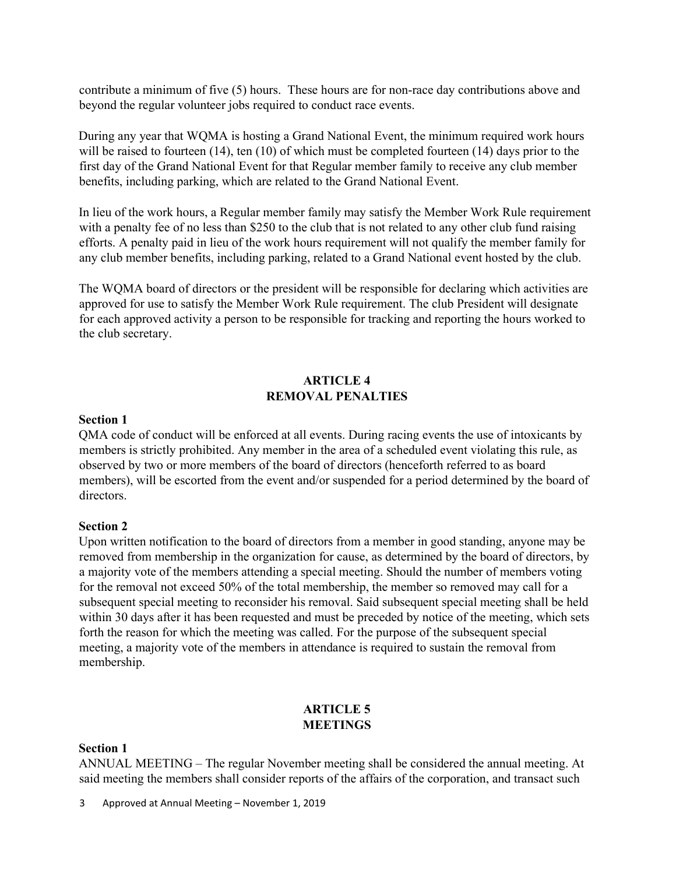contribute a minimum of five (5) hours. These hours are for non-race day contributions above and beyond the regular volunteer jobs required to conduct race events.

During any year that WQMA is hosting a Grand National Event, the minimum required work hours will be raised to fourteen (14), ten (10) of which must be completed fourteen (14) days prior to the first day of the Grand National Event for that Regular member family to receive any club member benefits, including parking, which are related to the Grand National Event.

In lieu of the work hours, a Regular member family may satisfy the Member Work Rule requirement with a penalty fee of no less than \$250 to the club that is not related to any other club fund raising efforts. A penalty paid in lieu of the work hours requirement will not qualify the member family for any club member benefits, including parking, related to a Grand National event hosted by the club.

The WQMA board of directors or the president will be responsible for declaring which activities are approved for use to satisfy the Member Work Rule requirement. The club President will designate for each approved activity a person to be responsible for tracking and reporting the hours worked to the club secretary.

## **ARTICLE 4 REMOVAL PENALTIES**

#### **Section 1**

QMA code of conduct will be enforced at all events. During racing events the use of intoxicants by members is strictly prohibited. Any member in the area of a scheduled event violating this rule, as observed by two or more members of the board of directors (henceforth referred to as board members), will be escorted from the event and/or suspended for a period determined by the board of directors.

#### **Section 2**

Upon written notification to the board of directors from a member in good standing, anyone may be removed from membership in the organization for cause, as determined by the board of directors, by a majority vote of the members attending a special meeting. Should the number of members voting for the removal not exceed 50% of the total membership, the member so removed may call for a subsequent special meeting to reconsider his removal. Said subsequent special meeting shall be held within 30 days after it has been requested and must be preceded by notice of the meeting, which sets forth the reason for which the meeting was called. For the purpose of the subsequent special meeting, a majority vote of the members in attendance is required to sustain the removal from membership.

## **ARTICLE 5 MEETINGS**

#### **Section 1**

ANNUAL MEETING – The regular November meeting shall be considered the annual meeting. At said meeting the members shall consider reports of the affairs of the corporation, and transact such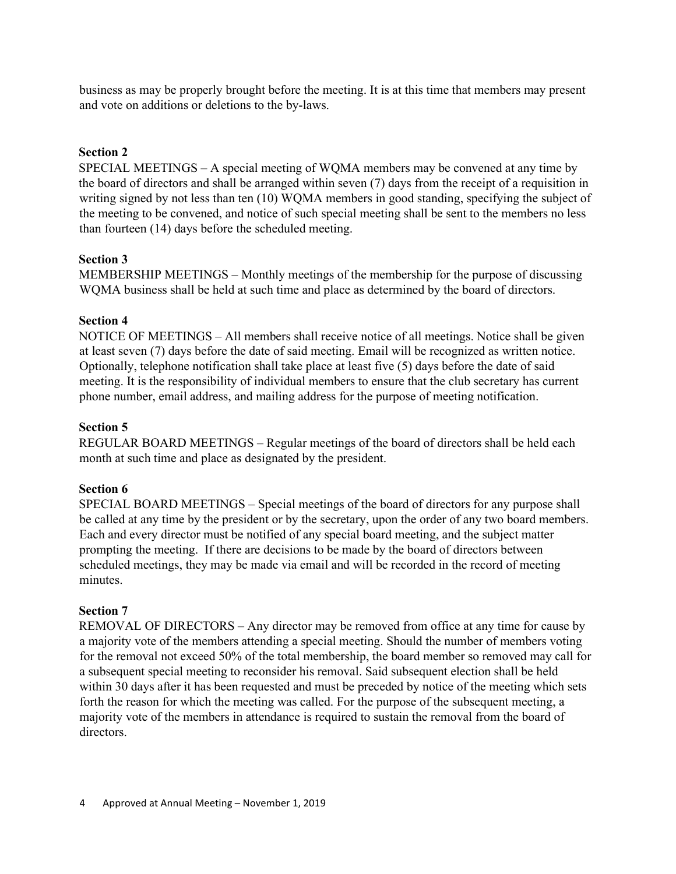business as may be properly brought before the meeting. It is at this time that members may present and vote on additions or deletions to the by-laws.

#### **Section 2**

SPECIAL MEETINGS – A special meeting of WQMA members may be convened at any time by the board of directors and shall be arranged within seven (7) days from the receipt of a requisition in writing signed by not less than ten (10) WQMA members in good standing, specifying the subject of the meeting to be convened, and notice of such special meeting shall be sent to the members no less than fourteen (14) days before the scheduled meeting.

#### **Section 3**

MEMBERSHIP MEETINGS – Monthly meetings of the membership for the purpose of discussing WQMA business shall be held at such time and place as determined by the board of directors.

#### **Section 4**

NOTICE OF MEETINGS – All members shall receive notice of all meetings. Notice shall be given at least seven (7) days before the date of said meeting. Email will be recognized as written notice. Optionally, telephone notification shall take place at least five (5) days before the date of said meeting. It is the responsibility of individual members to ensure that the club secretary has current phone number, email address, and mailing address for the purpose of meeting notification.

#### **Section 5**

REGULAR BOARD MEETINGS – Regular meetings of the board of directors shall be held each month at such time and place as designated by the president.

#### **Section 6**

SPECIAL BOARD MEETINGS – Special meetings of the board of directors for any purpose shall be called at any time by the president or by the secretary, upon the order of any two board members. Each and every director must be notified of any special board meeting, and the subject matter prompting the meeting. If there are decisions to be made by the board of directors between scheduled meetings, they may be made via email and will be recorded in the record of meeting minutes.

#### **Section 7**

REMOVAL OF DIRECTORS – Any director may be removed from office at any time for cause by a majority vote of the members attending a special meeting. Should the number of members voting for the removal not exceed 50% of the total membership, the board member so removed may call for a subsequent special meeting to reconsider his removal. Said subsequent election shall be held within 30 days after it has been requested and must be preceded by notice of the meeting which sets forth the reason for which the meeting was called. For the purpose of the subsequent meeting, a majority vote of the members in attendance is required to sustain the removal from the board of directors.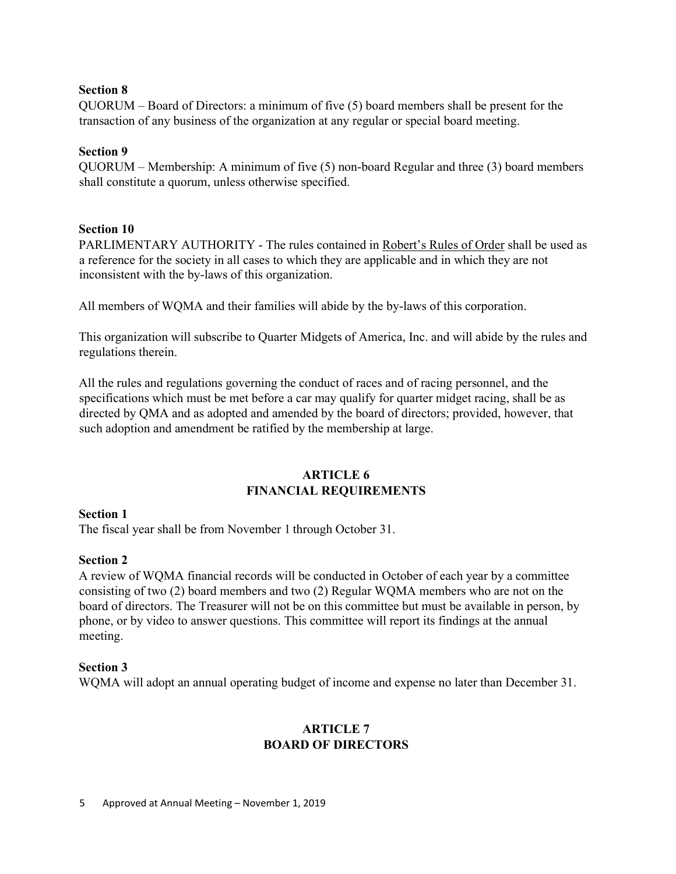## **Section 8**

QUORUM – Board of Directors: a minimum of five (5) board members shall be present for the transaction of any business of the organization at any regular or special board meeting.

## **Section 9**

QUORUM – Membership: A minimum of five (5) non-board Regular and three (3) board members shall constitute a quorum, unless otherwise specified.

## **Section 10**

PARLIMENTARY AUTHORITY - The rules contained in Robert's Rules of Order shall be used as a reference for the society in all cases to which they are applicable and in which they are not inconsistent with the by-laws of this organization.

All members of WQMA and their families will abide by the by-laws of this corporation.

This organization will subscribe to Quarter Midgets of America, Inc. and will abide by the rules and regulations therein.

All the rules and regulations governing the conduct of races and of racing personnel, and the specifications which must be met before a car may qualify for quarter midget racing, shall be as directed by QMA and as adopted and amended by the board of directors; provided, however, that such adoption and amendment be ratified by the membership at large.

## **ARTICLE 6 FINANCIAL REQUIREMENTS**

#### **Section 1**

The fiscal year shall be from November 1 through October 31.

#### **Section 2**

A review of WQMA financial records will be conducted in October of each year by a committee consisting of two (2) board members and two (2) Regular WQMA members who are not on the board of directors. The Treasurer will not be on this committee but must be available in person, by phone, or by video to answer questions. This committee will report its findings at the annual meeting.

#### **Section 3**

WQMA will adopt an annual operating budget of income and expense no later than December 31.

# **ARTICLE 7 BOARD OF DIRECTORS**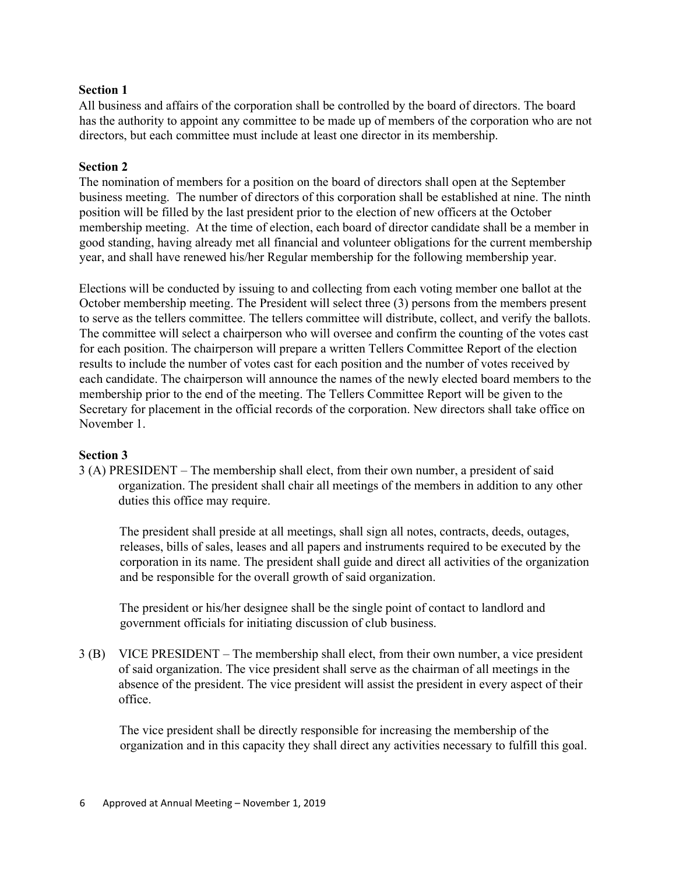## **Section 1**

All business and affairs of the corporation shall be controlled by the board of directors. The board has the authority to appoint any committee to be made up of members of the corporation who are not directors, but each committee must include at least one director in its membership.

# **Section 2**

The nomination of members for a position on the board of directors shall open at the September business meeting. The number of directors of this corporation shall be established at nine. The ninth position will be filled by the last president prior to the election of new officers at the October membership meeting. At the time of election, each board of director candidate shall be a member in good standing, having already met all financial and volunteer obligations for the current membership year, and shall have renewed his/her Regular membership for the following membership year.

Elections will be conducted by issuing to and collecting from each voting member one ballot at the October membership meeting. The President will select three (3) persons from the members present to serve as the tellers committee. The tellers committee will distribute, collect, and verify the ballots. The committee will select a chairperson who will oversee and confirm the counting of the votes cast for each position. The chairperson will prepare a written Tellers Committee Report of the election results to include the number of votes cast for each position and the number of votes received by each candidate. The chairperson will announce the names of the newly elected board members to the membership prior to the end of the meeting. The Tellers Committee Report will be given to the Secretary for placement in the official records of the corporation. New directors shall take office on November 1.

## **Section 3**

3 (A) PRESIDENT – The membership shall elect, from their own number, a president of said organization. The president shall chair all meetings of the members in addition to any other duties this office may require.

The president shall preside at all meetings, shall sign all notes, contracts, deeds, outages, releases, bills of sales, leases and all papers and instruments required to be executed by the corporation in its name. The president shall guide and direct all activities of the organization and be responsible for the overall growth of said organization.

The president or his/her designee shall be the single point of contact to landlord and government officials for initiating discussion of club business.

3 (B) VICE PRESIDENT – The membership shall elect, from their own number, a vice president of said organization. The vice president shall serve as the chairman of all meetings in the absence of the president. The vice president will assist the president in every aspect of their office.

The vice president shall be directly responsible for increasing the membership of the organization and in this capacity they shall direct any activities necessary to fulfill this goal.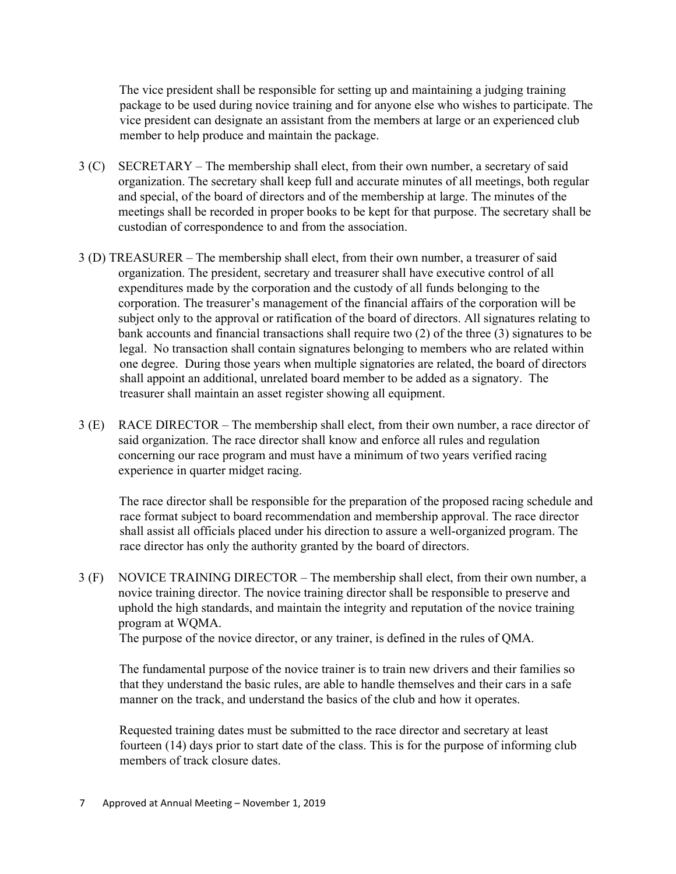The vice president shall be responsible for setting up and maintaining a judging training package to be used during novice training and for anyone else who wishes to participate. The vice president can designate an assistant from the members at large or an experienced club member to help produce and maintain the package.

- 3 (C) SECRETARY The membership shall elect, from their own number, a secretary of said organization. The secretary shall keep full and accurate minutes of all meetings, both regular and special, of the board of directors and of the membership at large. The minutes of the meetings shall be recorded in proper books to be kept for that purpose. The secretary shall be custodian of correspondence to and from the association.
- 3 (D) TREASURER The membership shall elect, from their own number, a treasurer of said organization. The president, secretary and treasurer shall have executive control of all expenditures made by the corporation and the custody of all funds belonging to the corporation. The treasurer's management of the financial affairs of the corporation will be subject only to the approval or ratification of the board of directors. All signatures relating to bank accounts and financial transactions shall require two (2) of the three (3) signatures to be legal. No transaction shall contain signatures belonging to members who are related within one degree. During those years when multiple signatories are related, the board of directors shall appoint an additional, unrelated board member to be added as a signatory. The treasurer shall maintain an asset register showing all equipment.
- 3 (E) RACE DIRECTOR The membership shall elect, from their own number, a race director of said organization. The race director shall know and enforce all rules and regulation concerning our race program and must have a minimum of two years verified racing experience in quarter midget racing.

The race director shall be responsible for the preparation of the proposed racing schedule and race format subject to board recommendation and membership approval. The race director shall assist all officials placed under his direction to assure a well-organized program. The race director has only the authority granted by the board of directors.

3 (F) NOVICE TRAINING DIRECTOR – The membership shall elect, from their own number, a novice training director. The novice training director shall be responsible to preserve and uphold the high standards, and maintain the integrity and reputation of the novice training program at WQMA.

The purpose of the novice director, or any trainer, is defined in the rules of QMA.

The fundamental purpose of the novice trainer is to train new drivers and their families so that they understand the basic rules, are able to handle themselves and their cars in a safe manner on the track, and understand the basics of the club and how it operates.

Requested training dates must be submitted to the race director and secretary at least fourteen (14) days prior to start date of the class. This is for the purpose of informing club members of track closure dates.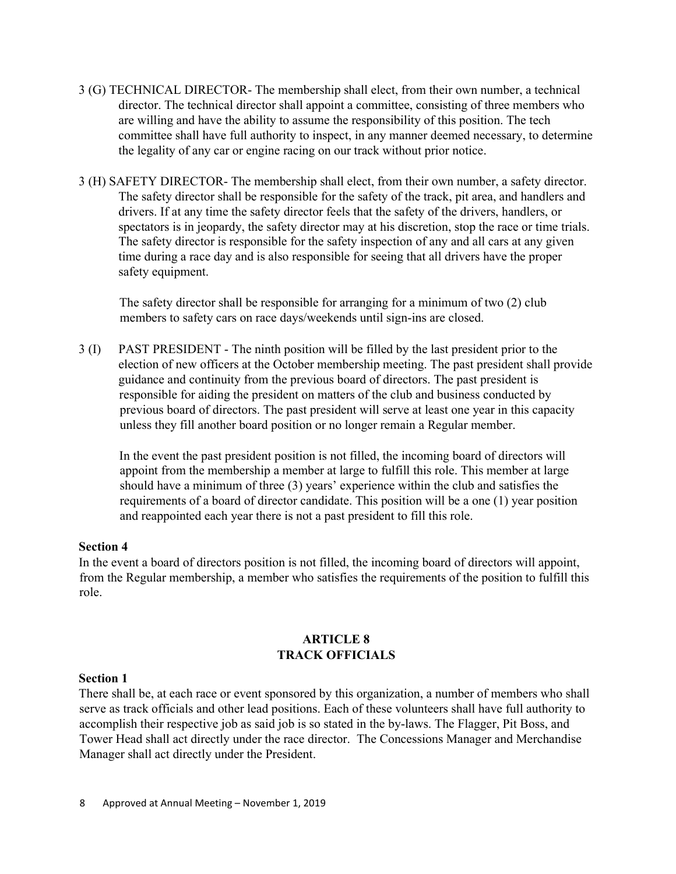- 3 (G) TECHNICAL DIRECTOR- The membership shall elect, from their own number, a technical director. The technical director shall appoint a committee, consisting of three members who are willing and have the ability to assume the responsibility of this position. The tech committee shall have full authority to inspect, in any manner deemed necessary, to determine the legality of any car or engine racing on our track without prior notice.
- 3 (H) SAFETY DIRECTOR- The membership shall elect, from their own number, a safety director. The safety director shall be responsible for the safety of the track, pit area, and handlers and drivers. If at any time the safety director feels that the safety of the drivers, handlers, or spectators is in jeopardy, the safety director may at his discretion, stop the race or time trials. The safety director is responsible for the safety inspection of any and all cars at any given time during a race day and is also responsible for seeing that all drivers have the proper safety equipment.

The safety director shall be responsible for arranging for a minimum of two (2) club members to safety cars on race days/weekends until sign-ins are closed.

3 (I) PAST PRESIDENT - The ninth position will be filled by the last president prior to the election of new officers at the October membership meeting. The past president shall provide guidance and continuity from the previous board of directors. The past president is responsible for aiding the president on matters of the club and business conducted by previous board of directors. The past president will serve at least one year in this capacity unless they fill another board position or no longer remain a Regular member.

In the event the past president position is not filled, the incoming board of directors will appoint from the membership a member at large to fulfill this role. This member at large should have a minimum of three (3) years' experience within the club and satisfies the requirements of a board of director candidate. This position will be a one (1) year position and reappointed each year there is not a past president to fill this role.

## **Section 4**

In the event a board of directors position is not filled, the incoming board of directors will appoint, from the Regular membership, a member who satisfies the requirements of the position to fulfill this role.

# **ARTICLE 8 TRACK OFFICIALS**

#### **Section 1**

There shall be, at each race or event sponsored by this organization, a number of members who shall serve as track officials and other lead positions. Each of these volunteers shall have full authority to accomplish their respective job as said job is so stated in the by-laws. The Flagger, Pit Boss, and Tower Head shall act directly under the race director. The Concessions Manager and Merchandise Manager shall act directly under the President.